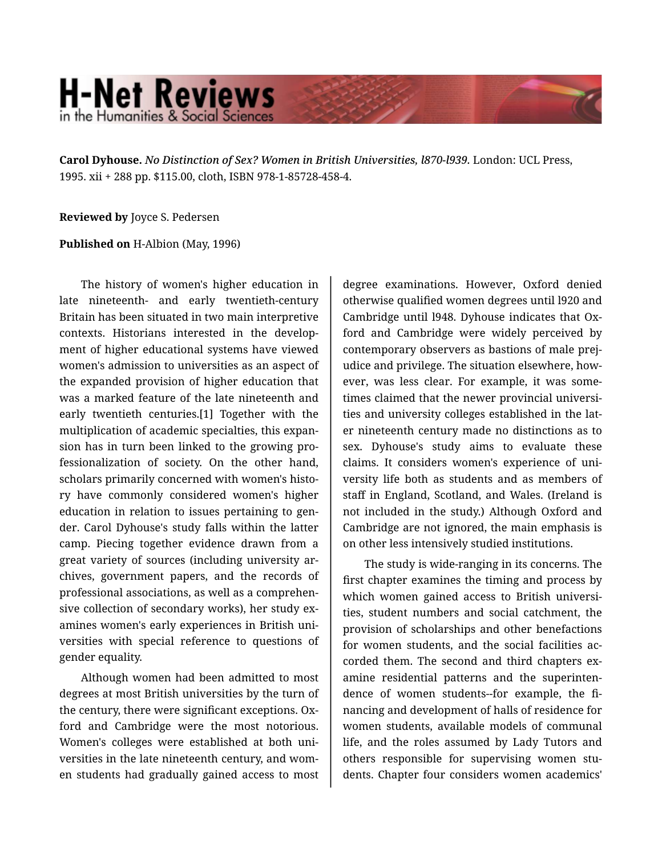## **H-Net Reviews** in the Humanities & Social Scienc

**Carol Dyhouse.** *No Distinction of Sex? Women in British Universities, l870-l939.* London: UCL Press, 1995. xii + 288 pp. \$115.00, cloth, ISBN 978-1-85728-458-4.

## **Reviewed by** Joyce S. Pedersen

## **Published on** H-Albion (May, 1996)

The history of women's higher education in late nineteenth- and early twentieth-century Britain has been situated in two main interpretive contexts. Historians interested in the develop‐ ment of higher educational systems have viewed women's admission to universities as an aspect of the expanded provision of higher education that was a marked feature of the late nineteenth and early twentieth centuries.[1] Together with the multiplication of academic specialties, this expan‐ sion has in turn been linked to the growing pro‐ fessionalization of society. On the other hand, scholars primarily concerned with women's histo‐ ry have commonly considered women's higher education in relation to issues pertaining to gen‐ der. Carol Dyhouse's study falls within the latter camp. Piecing together evidence drawn from a great variety of sources (including university ar‐ chives, government papers, and the records of professional associations, as well as a comprehen‐ sive collection of secondary works), her study examines women's early experiences in British uni‐ versities with special reference to questions of gender equality.

Although women had been admitted to most degrees at most British universities by the turn of the century, there were significant exceptions. Ox‐ ford and Cambridge were the most notorious. Women's colleges were established at both uni‐ versities in the late nineteenth century, and wom‐ en students had gradually gained access to most

degree examinations. However, Oxford denied otherwise qualified women degrees until l920 and Cambridge until l948. Dyhouse indicates that Ox‐ ford and Cambridge were widely perceived by contemporary observers as bastions of male prej‐ udice and privilege. The situation elsewhere, how‐ ever, was less clear. For example, it was some‐ times claimed that the newer provincial universi‐ ties and university colleges established in the lat‐ er nineteenth century made no distinctions as to sex. Dyhouse's study aims to evaluate these claims. It considers women's experience of uni‐ versity life both as students and as members of staff in England, Scotland, and Wales. (Ireland is not included in the study.) Although Oxford and Cambridge are not ignored, the main emphasis is on other less intensively studied institutions.

The study is wide-ranging in its concerns. The first chapter examines the timing and process by which women gained access to British universities, student numbers and social catchment, the provision of scholarships and other benefactions for women students, and the social facilities ac‐ corded them. The second and third chapters ex‐ amine residential patterns and the superinten‐ dence of women students--for example, the financing and development of halls of residence for women students, available models of communal life, and the roles assumed by Lady Tutors and others responsible for supervising women stu‐ dents. Chapter four considers women academics'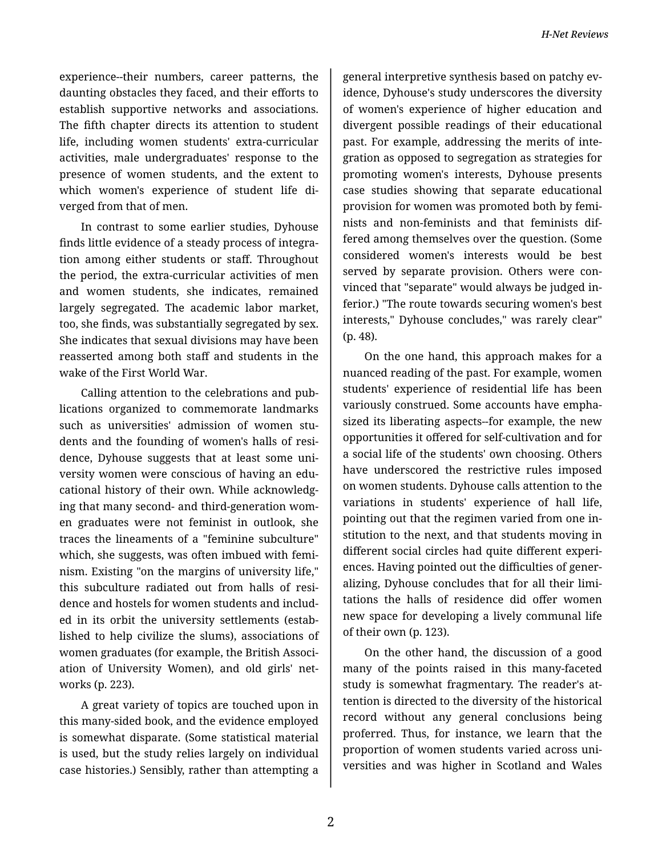experience--their numbers, career patterns, the daunting obstacles they faced, and their efforts to establish supportive networks and associations. The fifth chapter directs its attention to student life, including women students' extra-curricular activities, male undergraduates' response to the presence of women students, and the extent to which women's experience of student life di‐ verged from that of men.

In contrast to some earlier studies, Dyhouse finds little evidence of a steady process of integra‐ tion among either students or staff. Throughout the period, the extra-curricular activities of men and women students, she indicates, remained largely segregated. The academic labor market, too, she finds, was substantially segregated by sex. She indicates that sexual divisions may have been reasserted among both staff and students in the wake of the First World War.

Calling attention to the celebrations and pub‐ lications organized to commemorate landmarks such as universities' admission of women stu‐ dents and the founding of women's halls of resi‐ dence, Dyhouse suggests that at least some uni‐ versity women were conscious of having an edu‐ cational history of their own. While acknowledg‐ ing that many second- and third-generation wom‐ en graduates were not feminist in outlook, she traces the lineaments of a "feminine subculture" which, she suggests, was often imbued with femi‐ nism. Existing "on the margins of university life," this subculture radiated out from halls of resi‐ dence and hostels for women students and includ‐ ed in its orbit the university settlements (estab‐ lished to help civilize the slums), associations of women graduates (for example, the British Associ‐ ation of University Women), and old girls' net‐ works (p. 223).

A great variety of topics are touched upon in this many-sided book, and the evidence employed is somewhat disparate. (Some statistical material is used, but the study relies largely on individual case histories.) Sensibly, rather than attempting a

general interpretive synthesis based on patchy ev‐ idence, Dyhouse's study underscores the diversity of women's experience of higher education and divergent possible readings of their educational past. For example, addressing the merits of inte‐ gration as opposed to segregation as strategies for promoting women's interests, Dyhouse presents case studies showing that separate educational provision for women was promoted both by femi‐ nists and non-feminists and that feminists dif‐ fered among themselves over the question. (Some considered women's interests would be best served by separate provision. Others were convinced that "separate" would always be judged in‐ ferior.) "The route towards securing women's best interests," Dyhouse concludes," was rarely clear" (p. 48).

On the one hand, this approach makes for a nuanced reading of the past. For example, women students' experience of residential life has been variously construed. Some accounts have empha‐ sized its liberating aspects--for example, the new opportunities it offered for self-cultivation and for a social life of the students' own choosing. Others have underscored the restrictive rules imposed on women students. Dyhouse calls attention to the variations in students' experience of hall life, pointing out that the regimen varied from one in‐ stitution to the next, and that students moving in different social circles had quite different experi‐ ences. Having pointed out the difficulties of gener‐ alizing, Dyhouse concludes that for all their limi‐ tations the halls of residence did offer women new space for developing a lively communal life of their own (p. 123).

On the other hand, the discussion of a good many of the points raised in this many-faceted study is somewhat fragmentary. The reader's at‐ tention is directed to the diversity of the historical record without any general conclusions being proferred. Thus, for instance, we learn that the proportion of women students varied across uni‐ versities and was higher in Scotland and Wales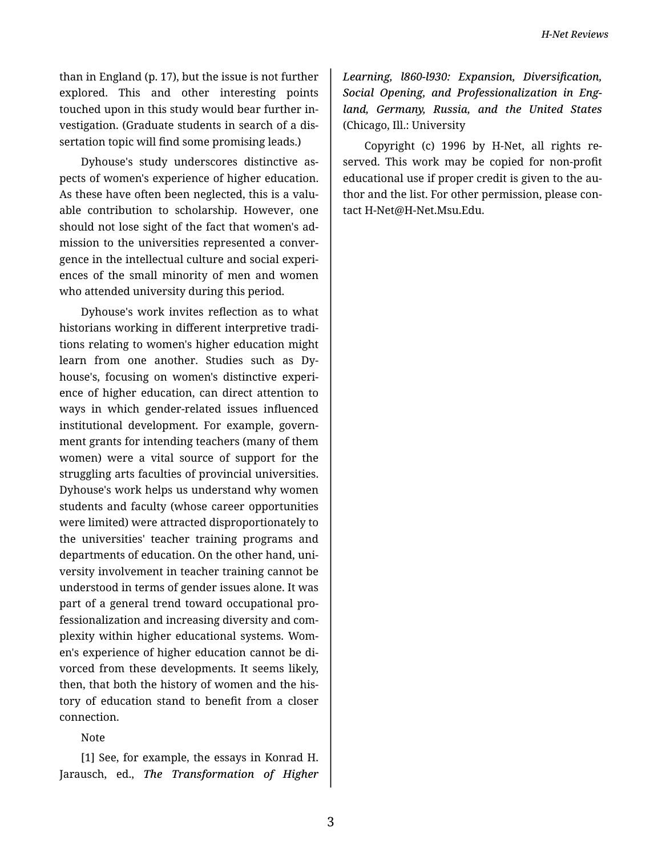than in England (p. 17), but the issue is not further explored. This and other interesting points touched upon in this study would bear further in‐ vestigation. (Graduate students in search of a dis‐ sertation topic will find some promising leads.)

Dyhouse's study underscores distinctive as‐ pects of women's experience of higher education. As these have often been neglected, this is a valu‐ able contribution to scholarship. However, one should not lose sight of the fact that women's ad‐ mission to the universities represented a conver‐ gence in the intellectual culture and social experi‐ ences of the small minority of men and women who attended university during this period.

Dyhouse's work invites reflection as to what historians working in different interpretive tradi‐ tions relating to women's higher education might learn from one another. Studies such as Dy‐ house's, focusing on women's distinctive experi‐ ence of higher education, can direct attention to ways in which gender-related issues influenced institutional development. For example, govern‐ ment grants for intending teachers (many of them women) were a vital source of support for the struggling arts faculties of provincial universities. Dyhouse's work helps us understand why women students and faculty (whose career opportunities were limited) were attracted disproportionately to the universities' teacher training programs and departments of education. On the other hand, uni‐ versity involvement in teacher training cannot be understood in terms of gender issues alone. It was part of a general trend toward occupational pro‐ fessionalization and increasing diversity and com‐ plexity within higher educational systems. Wom‐ en's experience of higher education cannot be di‐ vorced from these developments. It seems likely, then, that both the history of women and the his‐ tory of education stand to benefit from a closer connection.

Note

[1] See, for example, the essays in Konrad H. Jarausch, ed., *The Transformation of Higher* *Learning, l860-l930: Expansion, Diversification, Social Opening, and Professionalization in Eng‐ land, Germany, Russia, and the United States* (Chicago, Ill.: University

Copyright (c) 1996 by H-Net, all rights re‐ served. This work may be copied for non-profit educational use if proper credit is given to the au‐ thor and the list. For other permission, please con‐ tact H-Net@H-Net.Msu.Edu.